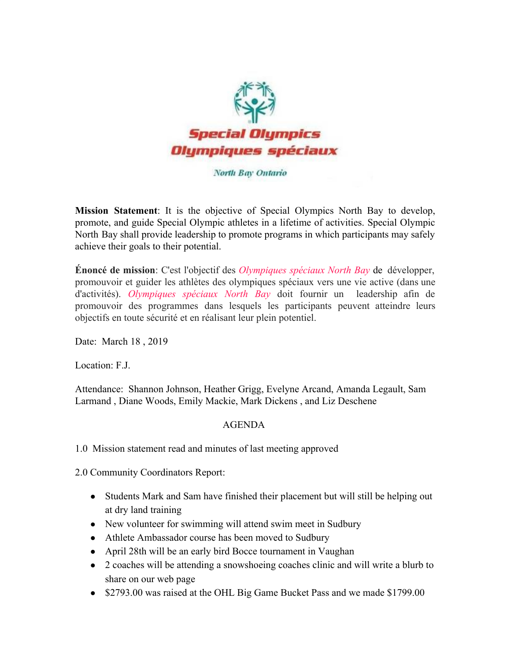

## North Bay Ontario

**Mission Statement**: It is the objective of Special Olympics North Bay to develop, promote, and guide Special Olympic athletes in a lifetime of activities. Special Olympic North Bay shall provide leadership to promote programs in which participants may safely achieve their goals to their potential.

**Énoncé de mission**: C'est l'objectif des *Olympiques spéciaux North Bay* de développer, promouvoir et guider les athlètes des olympiques spéciaux vers une vie active (dans une d'activités). *Olympiques spéciaux North Bay* doit fournir un leadership afin de promouvoir des programmes dans lesquels les participants peuvent atteindre leurs objectifs en toute sécurité et en réalisant leur plein potentiel.

Date: March 18 , 2019

Location: F.J.

Attendance: Shannon Johnson, Heather Grigg, Evelyne Arcand, Amanda Legault, Sam Larmand , Diane Woods, Emily Mackie, Mark Dickens , and Liz Deschene

## AGENDA

1.0 Mission statement read and minutes of last meeting approved

2.0 Community Coordinators Report:

- Students Mark and Sam have finished their placement but will still be helping out at dry land training
- New volunteer for swimming will attend swim meet in Sudbury
- Athlete Ambassador course has been moved to Sudbury
- April 28th will be an early bird Bocce tournament in Vaughan
- 2 coaches will be attending a snowshoeing coaches clinic and will write a blurb to share on our web page
- \$2793.00 was raised at the OHL Big Game Bucket Pass and we made \$1799.00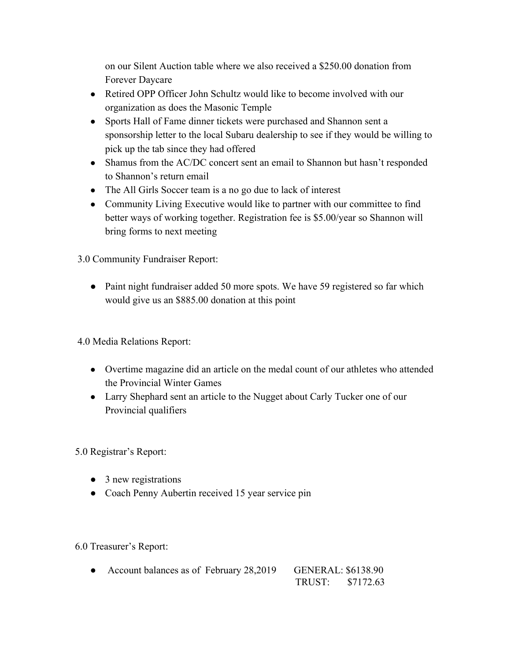on our Silent Auction table where we also received a \$250.00 donation from Forever Daycare

- Retired OPP Officer John Schultz would like to become involved with our organization as does the Masonic Temple
- Sports Hall of Fame dinner tickets were purchased and Shannon sent a sponsorship letter to the local Subaru dealership to see if they would be willing to pick up the tab since they had offered
- Shamus from the AC/DC concert sent an email to Shannon but hasn't responded to Shannon's return email
- The All Girls Soccer team is a no go due to lack of interest
- Community Living Executive would like to partner with our committee to find better ways of working together. Registration fee is \$5.00/year so Shannon will bring forms to next meeting

3.0 Community Fundraiser Report:

• Paint night fundraiser added 50 more spots. We have 59 registered so far which would give us an \$885.00 donation at this point

4.0 Media Relations Report:

- Overtime magazine did an article on the medal count of our athletes who attended the Provincial Winter Games
- Larry Shephard sent an article to the Nugget about Carly Tucker one of our Provincial qualifiers

5.0 Registrar's Report:

- 3 new registrations
- Coach Penny Aubertin received 15 year service pin

6.0 Treasurer's Report:

• Account balances as of February 28,2019 GENERAL: \$6138.90 TRUST: \$7172.63